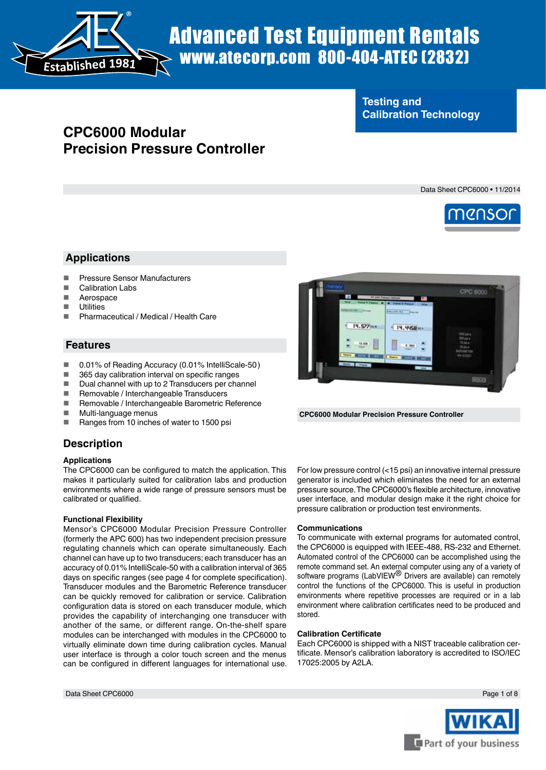

# Advanced Test Equipment Rentals www.atecorp.com 800-404-ATEC (2832)

# **Testing and Calibration Technology**

# **CPC6000 Modular Precision Pressure Controller**

Data Sheet CPC6000 • 11/2014



## **Applications**

- Pressure Sensor Manufacturers
- Calibration Labs
- **Aerospace**
- **Utilities**
- Pharmaceutical / Medical / Health Care

## **Features**

- 0.01% of Reading Accuracy (0.01% IntelliScale-50)<br>■ 365 day calibration interval on specific ranges
- 365 day calibration interval on specific ranges
- Dual channel with up to 2 Transducers per channel<br>Bemovable / Interchangeable Transducers
- Removable / Interchangeable Transducers
- Removable / Interchangeable Barometric Reference
- Multi-language menus<br>■ Banges from 10 inches
- Ranges from 10 inches of water to 1500 psi



**CPC6000 Modular Precision Pressure Controller**

## **Description**

#### **Applications**

The CPC6000 can be configured to match the application. This makes it particularly suited for calibration labs and production environments where a wide range of pressure sensors must be calibrated or qualified.

## **Functional Flexibility**

Mensor's CPC6000 Modular Precision Pressure Controller (formerly the APC 600) has two independent precision pressure regulating channels which can operate simultaneously. Each channel can have up to two transducers; each transducer has an accuracy of 0.01% IntelliScale-50 with a calibration interval of 365 days on specific ranges (see page 4 for complete specification). Transducer modules and the Barometric Reference transducer can be quickly removed for calibration or service. Calibration configuration data is stored on each transducer module, which provides the capability of interchanging one transducer with another of the same, or different range. On-the-shelf spare modules can be interchanged with modules in the CPC6000 to virtually eliminate down time during calibration cycles. Manual user interface is through a color touch screen and the menus can be configured in different languages for international use.

For low pressure control (<15 psi) an innovative internal pressure generator is included which eliminates the need for an external pressure source. The CPC6000's flexible architecture, innovative user interface, and modular design make it the right choice for pressure calibration or production test environments.

#### **Communications**

To communicate with external programs for automated control, the CPC6000 is equipped with IEEE-488, RS-232 and Ethernet. Automated control of the CPC6000 can be accomplished using the remote command set. An external computer using any of a variety of software programs (LabVIEW<sup>®</sup> Drivers are available) can remotely control the functions of the CPC6000. This is useful in production environments where repetitive processes are required or in a lab environment where calibration certificates need to be produced and stored.

#### **Calibration Certificate**

Each CPC6000 is shipped with a NIST traceable calibration certificate. Mensor's calibration laboratory is accredited to ISO/IEC 17025:2005 by A2LA.

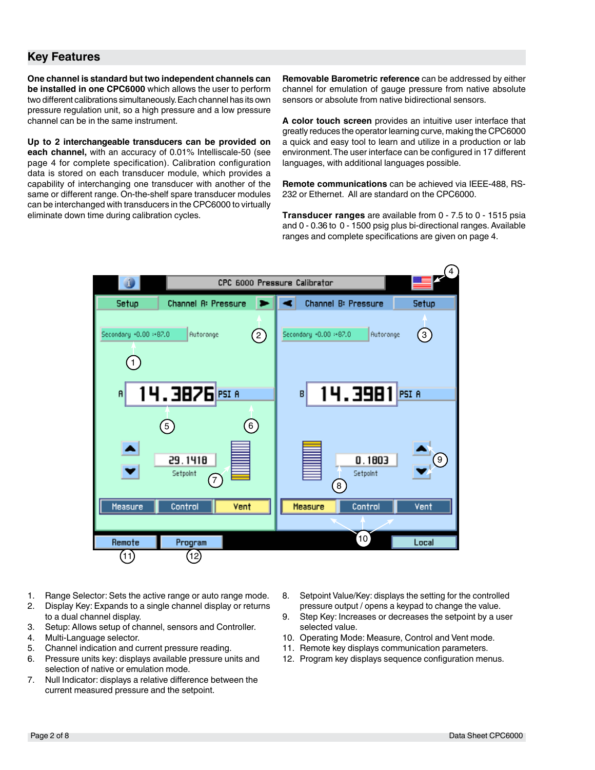## **Key Features**

**One channel is standard but two independent channels can be installed in one CPC6000** which allows the user to perform two different calibrations simultaneously. Each channel has its own pressure regulation unit, so a high pressure and a low pressure channel can be in the same instrument.

**Up to 2 interchangeable transducers can be provided on each channel,** with an accuracy of 0.01% Intelliscale-50 (see page 4 for complete specification). Calibration configuration data is stored on each transducer module, which provides a capability of interchanging one transducer with another of the same or different range. On-the-shelf spare transducer modules can be interchanged with transducers in the CPC6000 to virtually eliminate down time during calibration cycles.

**Removable Barometric reference** can be addressed by either channel for emulation of gauge pressure from native absolute sensors or absolute from native bidirectional sensors.

**A color touch screen** provides an intuitive user interface that greatly reduces the operator learning curve, making the CPC6000 a quick and easy tool to learn and utilize in a production or lab environment. The user interface can be configured in 17 different languages, with additional languages possible.

**Remote communications** can be achieved via IEEE-488, RS-232 or Ethernet. All are standard on the CPC6000.

**Transducer ranges** are available from 0 - 7.5 to 0 - 1515 psia and 0 - 0.36 to 0 - 1500 psig plus bi-directional ranges. Available ranges and complete specifications are given on page 4.



- 1. Range Selector: Sets the active range or auto range mode.
- 2. Display Key: Expands to a single channel display or returns to a dual channel display.
- 3. Setup: Allows setup of channel, sensors and Controller.
- 
- 4. Multi-Language selector.<br>5. Channel indication and cu 5. Channel indication and current pressure reading.
- 6. Pressure units key: displays available pressure units and selection of native or emulation mode.
- 7. Null Indicator: displays a relative difference between the current measured pressure and the setpoint.
- 8. Setpoint Value/Key: displays the setting for the controlled pressure output / opens a keypad to change the value.
- 9. Step Key: Increases or decreases the setpoint by a user selected value.
- 10. Operating Mode: Measure, Control and Vent mode.
- 11. Remote key displays communication parameters.
- 12. Program key displays sequence configuration menus.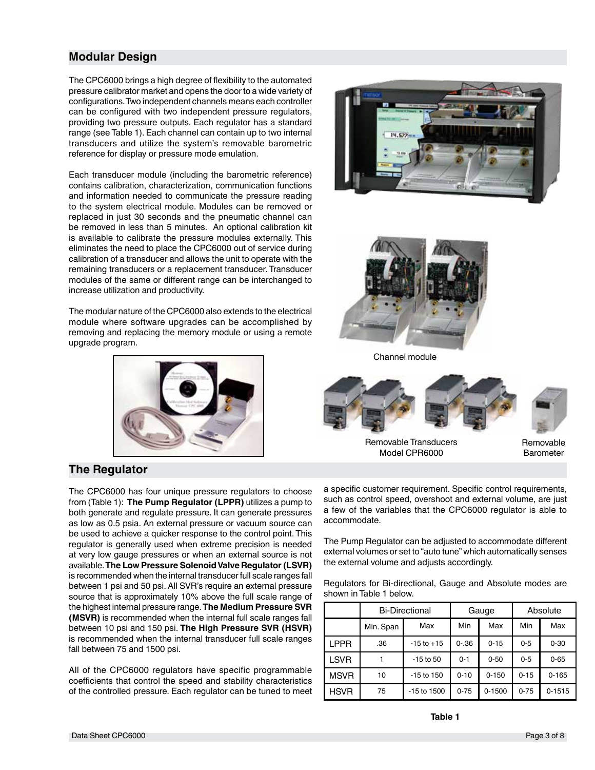## **Modular Design**

The CPC6000 brings a high degree of flexibility to the automated pressure calibrator market and opens the door to a wide variety of configurations. Two independent channels means each controller can be configured with two independent pressure regulators, providing two pressure outputs. Each regulator has a standard range (see Table 1). Each channel can contain up to two internal transducers and utilize the system's removable barometric reference for display or pressure mode emulation.

Each transducer module (including the barometric reference) contains calibration, characterization, communication functions and information needed to communicate the pressure reading to the system electrical module. Modules can be removed or replaced in just 30 seconds and the pneumatic channel can be removed in less than 5 minutes. An optional calibration kit is available to calibrate the pressure modules externally. This eliminates the need to place the CPC6000 out of service during calibration of a transducer and allows the unit to operate with the remaining transducers or a replacement transducer. Transducer modules of the same or different range can be interchanged to increase utilization and productivity.

The modular nature of the CPC6000 also extends to the electrical module where software upgrades can be accomplished by removing and replacing the memory module or using a remote upgrade program.







Channel module





Removable Transducers Model CPR6000

Removable Barometer

## **The Regulator**

The CPC6000 has four unique pressure regulators to choose from (Table 1): **The Pump Regulator (LPPR)** utilizes a pump to both generate and regulate pressure. It can generate pressures as low as 0.5 psia. An external pressure or vacuum source can be used to achieve a quicker response to the control point. This regulator is generally used when extreme precision is needed at very low gauge pressures or when an external source is not available. **The Low Pressure Solenoid Valve Regulator (LSVR)** is recommended when the internal transducer full scale ranges fall between 1 psi and 50 psi. All SVR's require an external pressure source that is approximately 10% above the full scale range of the highest internal pressure range. **The Medium Pressure SVR (MSVR)** is recommended when the internal full scale ranges fall between 10 psi and 150 psi. **The High Pressure SVR (HSVR)** is recommended when the internal transducer full scale ranges fall between 75 and 1500 psi.

All of the CPC6000 regulators have specific programmable coefficients that control the speed and stability characteristics of the controlled pressure. Each regulator can be tuned to meet a specific customer requirement. Specific control requirements, such as control speed, overshoot and external volume, are just a few of the variables that the CPC6000 regulator is able to accommodate.

The Pump Regulator can be adjusted to accommodate different external volumes or set to "auto tune" which automatically senses the external volume and adjusts accordingly.

Regulators for Bi-directional, Gauge and Absolute modes are shown in Table 1 below.

|             | <b>Bi-Directional</b> |                |           | Gauge      | Absolute |            |
|-------------|-----------------------|----------------|-----------|------------|----------|------------|
|             | Min. Span             | Max            | Min       | Max        | Min      | Max        |
| <b>LPPR</b> | .36                   | $-15$ to $+15$ | $0 - .36$ | $0 - 15$   | $0 - 5$  | $0 - 30$   |
| <b>LSVR</b> |                       | $-15$ to 50    | $0 - 1$   | $0 - 50$   | $0 - 5$  | $0 - 65$   |
| <b>MSVR</b> | 10                    | $-15$ to $150$ | $0 - 10$  | $0 - 150$  | $0 - 15$ | $0 - 165$  |
| <b>HSVR</b> | 75                    | -15 to 1500    | $0 - 75$  | $0 - 1500$ | $0 - 75$ | $0 - 1515$ |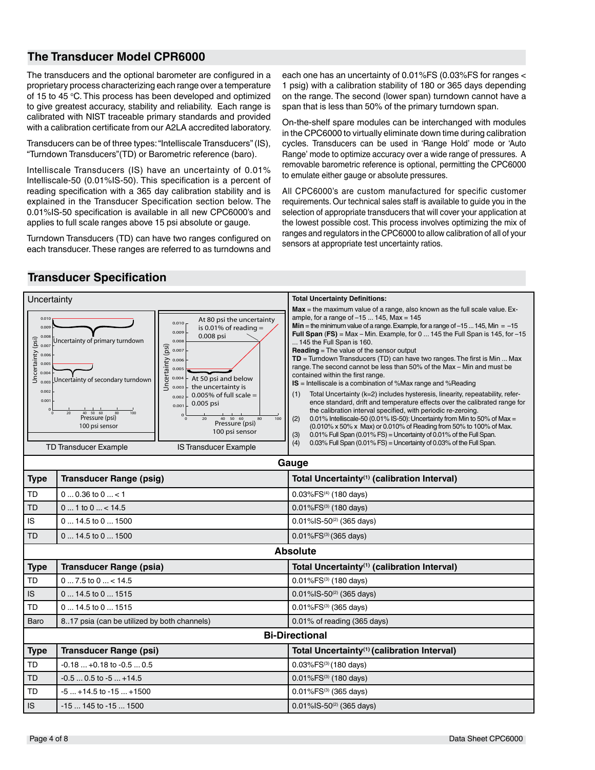## **The Transducer Model CPR6000**

The transducers and the optional barometer are configured in a proprietary process characterizing each range over a temperature of 15 to 45 °C. This process has been developed and optimized to give greatest accuracy, stability and reliability. Each range is calibrated with NIST traceable primary standards and provided with a calibration certificate from our A2LA accredited laboratory.

Transducers can be of three types: "Intelliscale Transducers" (IS), "Turndown Transducers"(TD) or Barometric reference (baro).

Intelliscale Transducers (IS) have an uncertainty of 0.01% Intelliscale-50 (0.01%IS-50). This specification is a percent of reading specification with a 365 day calibration stability and is explained in the Transducer Specification section below. The 0.01%IS-50 specification is available in all new CPC6000's and applies to full scale ranges above 15 psi absolute or gauge.

Turndown Transducers (TD) can have two ranges configured on each transducer. These ranges are referred to as turndowns and each one has an uncertainty of 0.01%FS (0.03%FS for ranges < 1 psig) with a calibration stability of 180 or 365 days depending on the range. The second (lower span) turndown cannot have a span that is less than 50% of the primary turndown span.

On-the-shelf spare modules can be interchanged with modules in the CPC6000 to virtually eliminate down time during calibration cycles. Transducers can be used in 'Range Hold' mode or 'Auto Range' mode to optimize accuracy over a wide range of pressures. A removable barometric reference is optional, permitting the CPC6000 to emulate either gauge or absolute pressures.

All CPC6000's are custom manufactured for specific customer requirements. Our technical sales staff is available to guide you in the selection of appropriate transducers that will cover your application at the lowest possible cost. This process involves optimizing the mix of ranges and regulators in the CPC6000 to allow calibration of all of your sensors at appropriate test uncertainty ratios.



## **Transducer Specification**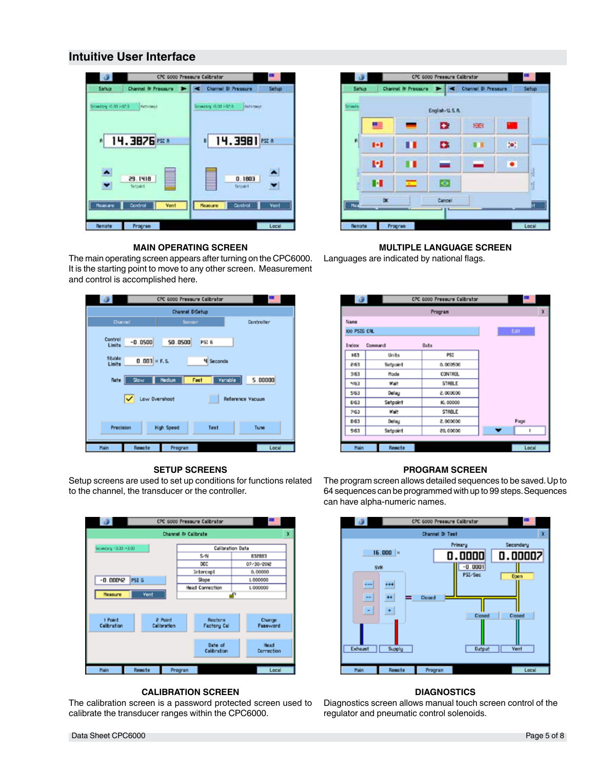## **Intuitive User Interface**





#### **MAIN OPERATING SCREEN**

The main operating screen appears after turning on the CPC6000. It is the starting point to move to any other screen. Measurement and control is accomplished here.

|                                                       |                                  | CPC 6000 Pressure Calibrator |                           |          |            |
|-------------------------------------------------------|----------------------------------|------------------------------|---------------------------|----------|------------|
|                                                       | Channel B-Setup                  |                              |                           |          |            |
| Channel                                               |                                  | <b>Sensor</b>                |                           |          | Controller |
| Control<br>Limits<br>Stable                           | $-0.0500$<br>$0.003 \times F.S.$ | 50.0500                      | PSI 6<br><b>4</b> Seconds |          |            |
| Limits<br>Rate                                        | <b>Slow</b>                      | <b>Hedium</b><br>Fast        |                           | Variable | 5.00000    |
| Low Overshoot<br>◡<br>Reference Vacuum                |                                  |                              |                           |          |            |
| <b>Precision</b><br><b>High Speed</b><br>Test<br>Tune |                                  |                              |                           |          |            |
| Hain                                                  | Remote                           | Program                      |                           |          | Local      |

#### **SETUP SCREENS**

Setup screens are used to set up conditions for functions related to the channel, the transducer or the controller.



#### **CALIBRATION SCREEN**

The calibration screen is a password protected screen used to calibrate the transducer ranges within the CPC6000.

### **MULTIPLE LANGUAGE SCREEN**

Languages are indicated by national flags.

|              | $\bigcirc$ | CPC 6000 Pressure Calibrator |                               |
|--------------|------------|------------------------------|-------------------------------|
|              |            | Program                      | x                             |
| Name         |            |                              |                               |
| 100 PSIG CAL |            |                              | Edit                          |
| Index        | Command    | Data                         |                               |
| 163          | Units      | PSI                          |                               |
| 283          | Setpoint   | 0,000500                     |                               |
| $3-63$       | Made       | <b>CONTROL</b>               |                               |
| 463          | Wait       | <b>STABLE</b>                |                               |
| 563          | Delay      | 000000.5                     |                               |
| 6:63         | Setpoint   | IO. 00000                    |                               |
| 763          | Wait       | STAGLE                       |                               |
| 8-63         | Delay      | 000000.5                     | Page                          |
| 963          | Setpoint   | 20,00000                     | $\overline{\phantom{a}}$<br>۱ |
|              |            |                              |                               |
| Hain         | Remote     |                              | Local                         |

#### **PROGRAM SCREEN**

The program screen allows detailed sequences to be saved. Up to 64 sequences can be programmed with up to 99 steps. Sequences can have alpha-numeric names.



## **DIAGNOSTICS**

Diagnostics screen allows manual touch screen control of the regulator and pneumatic control solenoids.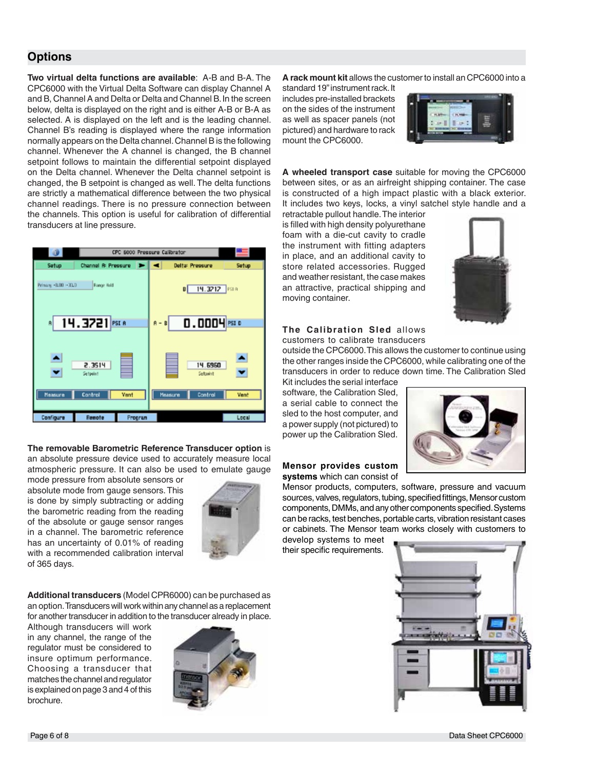## **Options**

**Two virtual delta functions are available**: A-B and B-A. The CPC6000 with the Virtual Delta Software can display Channel A and B, Channel A and Delta or Delta and Channel B. In the screen below, delta is displayed on the right and is either A-B or B-A as selected. A is displayed on the left and is the leading channel. Channel B's reading is displayed where the range information normally appears on the Delta channel. Channel B is the following channel. Whenever the A channel is changed, the B channel setpoint follows to maintain the differential setpoint displayed on the Delta channel. Whenever the Delta channel setpoint is changed, the B setpoint is changed as well. The delta functions are strictly a mathematical difference between the two physical channel readings. There is no pressure connection between the channels. This option is useful for calibration of differential transducers at line pressure.



**The removable Barometric Reference Transducer option** is an absolute pressure device used to accurately measure local atmospheric pressure. It can also be used to emulate gauge

mode pressure from absolute sensors or absolute mode from gauge sensors. This is done by simply subtracting or adding the barometric reading from the reading of the absolute or gauge sensor ranges in a channel. The barometric reference has an uncertainty of 0.01% of reading with a recommended calibration interval of 365 days.



**Additional transducers** (Model CPR6000) can be purchased as an option. Transducers will work within any channel as a replacement for another transducer in addition to the transducer already in place.

Although transducers will work in any channel, the range of the regulator must be considered to insure optimum performance. Choosing a transducer that matches the channel and regulator is explained on page 3 and 4 of this brochure.



**A rack mount kit** allows the customer to install an CPC6000 into a

standard 19" instrument rack. It includes pre-installed brackets on the sides of the instrument as well as spacer panels (not pictured) and hardware to rack mount the CPC6000.



**A wheeled transport case** suitable for moving the CPC6000 between sites, or as an airfreight shipping container. The case is constructed of a high impact plastic with a black exterior. It includes two keys, locks, a vinyl satchel style handle and a

retractable pullout handle. The interior is filled with high density polyurethane foam with a die-cut cavity to cradle the instrument with fitting adapters in place, and an additional cavity to store related accessories. Rugged and weather resistant, the case makes an attractive, practical shipping and moving container.



#### **The Calibration Sled** allows customers to calibrate transducers

outside the CPC6000. This allows the customer to continue using the other ranges inside the CPC6000, while calibrating one of the transducers in order to reduce down time. The Calibration Sled Kit includes the serial interface

software, the Calibration Sled, a serial cable to connect the sled to the host computer, and a power supply (not pictured) to power up the Calibration Sled.

#### **Mensor provides custom systems** which can consist of

Mensor products, computers, software, pressure and vacuum sources, valves, regulators, tubing, specified fittings, Mensor custom components, DMMs, and any other components specified. Systems can be racks, test benches, portable carts, vibration resistant cases or cabinets. The Mensor team works closely with customers to

develop systems to meet their specific requirements.



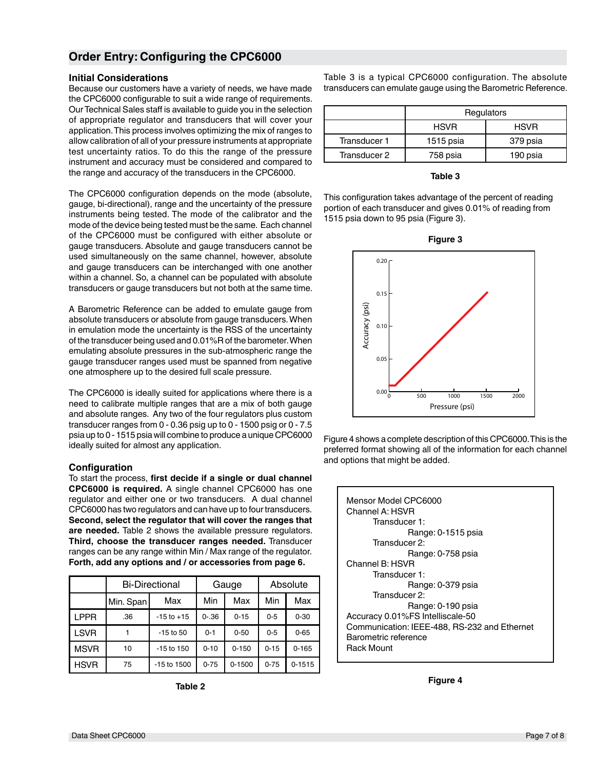## **Order Entry: Configuring the CPC6000**

#### **Initial Considerations**

Because our customers have a variety of needs, we have made the CPC6000 configurable to suit a wide range of requirements. Our Technical Sales staff is available to guide you in the selection of appropriate regulator and transducers that will cover your application. This process involves optimizing the mix of ranges to allow calibration of all of your pressure instruments at appropriate test uncertainty ratios. To do this the range of the pressure instrument and accuracy must be considered and compared to the range and accuracy of the transducers in the CPC6000.

The CPC6000 configuration depends on the mode (absolute, gauge, bi-directional), range and the uncertainty of the pressure instruments being tested. The mode of the calibrator and the mode of the device being tested must be the same. Each channel of the CPC6000 must be configured with either absolute or gauge transducers. Absolute and gauge transducers cannot be used simultaneously on the same channel, however, absolute and gauge transducers can be interchanged with one another within a channel. So, a channel can be populated with absolute transducers or gauge transducers but not both at the same time.

A Barometric Reference can be added to emulate gauge from absolute transducers or absolute from gauge transducers. When in emulation mode the uncertainty is the RSS of the uncertainty of the transducer being used and 0.01%R of the barometer. When emulating absolute pressures in the sub-atmospheric range the gauge transducer ranges used must be spanned from negative one atmosphere up to the desired full scale pressure.

The CPC6000 is ideally suited for applications where there is a need to calibrate multiple ranges that are a mix of both gauge and absolute ranges. Any two of the four regulators plus custom transducer ranges from 0 - 0.36 psig up to 0 - 1500 psig or 0 - 7.5 psia up to 0 - 1515 psia will combine to produce a unique CPC6000 ideally suited for almost any application.

#### **Configuration**

To start the process, **first decide if a single or dual channel CPC6000 is required.** A single channel CPC6000 has one regulator and either one or two transducers. A dual channel CPC6000 has two regulators and can have up to four transducers. **Second, select the regulator that will cover the ranges that are needed.** Table 2 shows the available pressure regulators. **Third, choose the transducer ranges needed.** Transducer ranges can be any range within Min / Max range of the regulator. **Forth, add any options and / or accessories from page 6.**

|             | <b>Bi-Directional</b> |                | Gauge     |            | Absolute |            |
|-------------|-----------------------|----------------|-----------|------------|----------|------------|
|             | Min. Span             | Max            | Min       | Max        | Min      | Max        |
| LPPR        | .36                   | $-15$ to $+15$ | $0 - .36$ | $0 - 15$   | $0 - 5$  | $0 - 30$   |
| <b>LSVR</b> |                       | $-15$ to $50$  | $0 - 1$   | $0 - 50$   | $0 - 5$  | $0 - 65$   |
| <b>MSVR</b> | 10                    | $-15$ to $150$ | $0 - 10$  | $0 - 150$  | $0 - 15$ | $0 - 165$  |
| <b>HSVR</b> | 75                    | -15 to 1500    | $0 - 75$  | $0 - 1500$ | $0 - 75$ | $0 - 1515$ |

**Table 2**

Table 3 is a typical CPC6000 configuration. The absolute transducers can emulate gauge using the Barometric Reference.

|              | Regulators  |             |  |
|--------------|-------------|-------------|--|
|              | <b>HSVR</b> | <b>HSVR</b> |  |
| Transducer 1 | 1515 psia   | 379 psia    |  |
| Transducer 2 | 758 psia    | 190 psia    |  |

**Table 3**

This configuration takes advantage of the percent of reading portion of each transducer and gives 0.01% of reading from 1515 psia down to 95 psia (Figure 3).





Figure 4 shows a complete description of this CPC6000. This is the preferred format showing all of the information for each channel and options that might be added.

| Mensor Model CPC6000                         |
|----------------------------------------------|
| Channel A: HSVR                              |
| Transducer 1:                                |
| Range: 0-1515 psia                           |
| Transducer 2:                                |
| Range: 0-758 psia                            |
| Channel B: HSVR                              |
| Transducer 1:                                |
| Range: 0-379 psia                            |
| Transducer 2:                                |
| Range: 0-190 psia                            |
| Accuracy 0.01%FS Intelliscale-50             |
| Communication: IEEE-488, RS-232 and Ethernet |
| Barometric reference                         |
| <b>Rack Mount</b>                            |
|                                              |

**Figure 4**